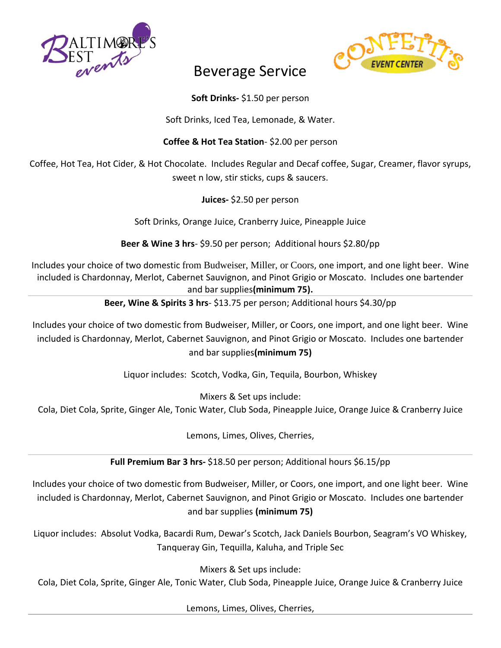



## Beverage Service

## **Soft Drinks-** \$1.50 per person

Soft Drinks, Iced Tea, Lemonade, & Water.

## **Coffee & Hot Tea Station**- \$2.00 per person

Coffee, Hot Tea, Hot Cider, & Hot Chocolate. Includes Regular and Decaf coffee, Sugar, Creamer, flavor syrups, sweet n low, stir sticks, cups & saucers.

**Juices-** \$2.50 per person

Soft Drinks, Orange Juice, Cranberry Juice, Pineapple Juice

**Beer & Wine 3 hrs**- \$9.50 per person; Additional hours \$2.80/pp

Includes your choice of two domestic from Budweiser, Miller, or Coors, one import, and one light beer. Wine included is Chardonnay, Merlot, Cabernet Sauvignon, and Pinot Grigio or Moscato. Includes one bartender and bar supplies**(minimum 75).** 

**Beer, Wine & Spirits 3 hrs**- \$13.75 per person; Additional hours \$4.30/pp

Includes your choice of two domestic from Budweiser, Miller, or Coors, one import, and one light beer. Wine included is Chardonnay, Merlot, Cabernet Sauvignon, and Pinot Grigio or Moscato. Includes one bartender and bar supplies**(minimum 75)**

Liquor includes: Scotch, Vodka, Gin, Tequila, Bourbon, Whiskey

Mixers & Set ups include:

Cola, Diet Cola, Sprite, Ginger Ale, Tonic Water, Club Soda, Pineapple Juice, Orange Juice & Cranberry Juice

Lemons, Limes, Olives, Cherries,

**Full Premium Bar 3 hrs-** \$18.50 per person; Additional hours \$6.15/pp

Includes your choice of two domestic from Budweiser, Miller, or Coors, one import, and one light beer. Wine included is Chardonnay, Merlot, Cabernet Sauvignon, and Pinot Grigio or Moscato. Includes one bartender and bar supplies **(minimum 75)**

Liquor includes: Absolut Vodka, Bacardi Rum, Dewar's Scotch, Jack Daniels Bourbon, Seagram's VO Whiskey, Tanqueray Gin, Tequilla, Kaluha, and Triple Sec

Mixers & Set ups include:

Cola, Diet Cola, Sprite, Ginger Ale, Tonic Water, Club Soda, Pineapple Juice, Orange Juice & Cranberry Juice

Lemons, Limes, Olives, Cherries,